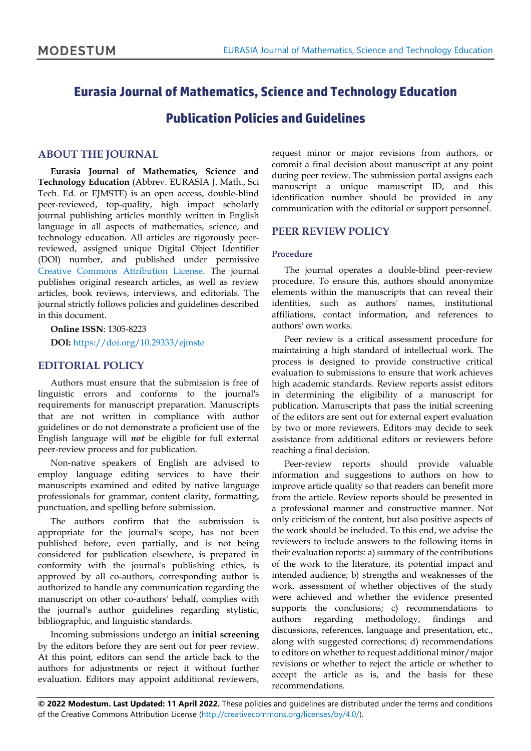# **Eurasia Journal of Mathematics, Science and Technology Education**

**Publication Policies and Guidelines**

#### **ABOUT THE JOURNAL**

**Eurasia Journal of Mathematics, Science and Technology Education** (Abbrev. EURASIA J. Math., Sci Tech. Ed. or EJMSTE) is an open access, double-blind peer-reviewed, top-quality, high impact scholarly journal publishing articles monthly written in English language in all aspects of mathematics, science, and technology education. All articles are rigorously peerreviewed, assigned unique Digital Object Identifier (DOI) number, and published under permissive [Creative Commons Attribution License.](http://creativecommons.org/licenses/by/4.0/) The journal publishes original research articles, as well as review articles, book reviews, interviews, and editorials. The journal strictly follows policies and guidelines described in this document.

**Online ISSN**: 1305-8223 **DOI:** <https://doi.org/10.29333/ejmste>

### **EDITORIAL POLICY**

Authors must ensure that the submission is free of linguistic errors and conforms to the journal's requirements for manuscript preparation. Manuscripts that are not written in compliance with author guidelines or do not demonstrate a proficient use of the English language will *not* be eligible for full external peer-review process and for publication.

Non-native speakers of English are advised to employ language editing services to have their manuscripts examined and edited by native language professionals for grammar, content clarity, formatting, punctuation, and spelling before submission.

The authors confirm that the submission is appropriate for the journal's scope, has not been published before, even partially, and is not being considered for publication elsewhere, is prepared in conformity with the journal's publishing ethics, is approved by all co-authors, corresponding author is authorized to handle any communication regarding the manuscript on other co-authors' behalf, complies with the journal's author guidelines regarding stylistic, bibliographic, and linguistic standards.

Incoming submissions undergo an **initial screening** by the editors before they are sent out for peer review. At this point, editors can send the article back to the authors for adjustments or reject it without further evaluation. Editors may appoint additional reviewers,

request minor or major revisions from authors, or commit a final decision about manuscript at any point during peer review. The submission portal assigns each manuscript a unique manuscript ID, and this identification number should be provided in any communication with the editorial or support personnel.

### **PEER REVIEW POLICY**

#### **Procedure**

The journal operates a double-blind peer-review procedure. To ensure this, authors should anonymize elements within the manuscripts that can reveal their identities, such as authors' names, institutional affiliations, contact information, and references to authors' own works.

Peer review is a critical assessment procedure for maintaining a high standard of intellectual work. The process is designed to provide constructive critical evaluation to submissions to ensure that work achieves high academic standards. Review reports assist editors in determining the eligibility of a manuscript for publication. Manuscripts that pass the initial screening of the editors are sent out for external expert evaluation by two or more reviewers. Editors may decide to seek assistance from additional editors or reviewers before reaching a final decision.

Peer-review reports should provide valuable information and suggestions to authors on how to improve article quality so that readers can benefit more from the article. Review reports should be presented in a professional manner and constructive manner. Not only criticism of the content, but also positive aspects of the work should be included. To this end, we advise the reviewers to include answers to the following items in their evaluation reports: a) summary of the contributions of the work to the literature, its potential impact and intended audience; b) strengths and weaknesses of the work, assessment of whether objectives of the study were achieved and whether the evidence presented supports the conclusions; c) recommendations to authors regarding methodology, findings and discussions, references, language and presentation, etc., along with suggested corrections; d) recommendations to editors on whether to request additional minor/major revisions or whether to reject the article or whether to accept the article as is, and the basis for these recommendations.

**© 2022 Modestum. Last Updated: 11 April 2022.** These policies and guidelines are distributed under the terms and conditions of the Creative Commons Attribution License [\(http://creativecommons.org/licenses/by/4.0/\)](http://creativecommons.org/licenses/by/4.0/).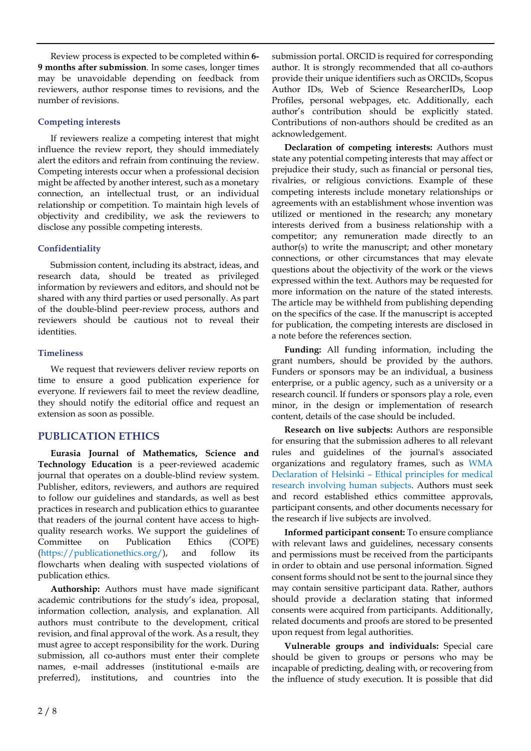Review process is expected to be completed within **6- 9 months after submission**. In some cases, longer times may be unavoidable depending on feedback from reviewers, author response times to revisions, and the number of revisions.

#### **Competing interests**

If reviewers realize a competing interest that might influence the review report, they should immediately alert the editors and refrain from continuing the review. Competing interests occur when a professional decision might be affected by another interest, such as a monetary connection, an intellectual trust, or an individual relationship or competition. To maintain high levels of objectivity and credibility, we ask the reviewers to disclose any possible competing interests.

#### **Confidentiality**

Submission content, including its abstract, ideas, and research data, should be treated as privileged information by reviewers and editors, and should not be shared with any third parties or used personally. As part of the double-blind peer-review process, authors and reviewers should be cautious not to reveal their identities.

#### **Timeliness**

We request that reviewers deliver review reports on time to ensure a good publication experience for everyone. If reviewers fail to meet the review deadline, they should notify the editorial office and request an extension as soon as possible.

## **PUBLICATION ETHICS**

**Eurasia Journal of Mathematics, Science and Technology Education** is a peer-reviewed academic journal that operates on a double-blind review system. Publisher, editors, reviewers, and authors are required to follow our guidelines and standards, as well as best practices in research and publication ethics to guarantee that readers of the journal content have access to highquality research works. We support the guidelines of Committee on Publication Ethics (COPE) [\(https://publicationethics.org/\)](https://publicationethics.org/), and follow its flowcharts when dealing with suspected violations of publication ethics.

**Authorship:** Authors must have made significant academic contributions for the study's idea, proposal, information collection, analysis, and explanation. All authors must contribute to the development, critical revision, and final approval of the work. As a result, they must agree to accept responsibility for the work. During submission, all co-authors must enter their complete names, e-mail addresses (institutional e-mails are preferred), institutions, and countries into the

submission portal. ORCID is required for corresponding author. It is strongly recommended that all co-authors provide their unique identifiers such as ORCIDs, Scopus Author IDs, Web of Science ResearcherIDs, Loop Profiles, personal webpages, etc. Additionally, each author's contribution should be explicitly stated. Contributions of non-authors should be credited as an acknowledgement.

**Declaration of competing interests:** Authors must state any potential competing interests that may affect or prejudice their study, such as financial or personal ties, rivalries, or religious convictions. Example of these competing interests include monetary relationships or agreements with an establishment whose invention was utilized or mentioned in the research; any monetary interests derived from a business relationship with a competitor; any remuneration made directly to an author(s) to write the manuscript; and other monetary connections, or other circumstances that may elevate questions about the objectivity of the work or the views expressed within the text. Authors may be requested for more information on the nature of the stated interests. The article may be withheld from publishing depending on the specifics of the case. If the manuscript is accepted for publication, the competing interests are disclosed in a note before the references section.

**Funding:** All funding information, including the grant numbers, should be provided by the authors. Funders or sponsors may be an individual, a business enterprise, or a public agency, such as a university or a research council. If funders or sponsors play a role, even minor, in the design or implementation of research content, details of the case should be included.

**Research on live subjects:** Authors are responsible for ensuring that the submission adheres to all relevant rules and guidelines of the journal's associated organizations and regulatory frames, such as [WMA](https://www.wma.net/policies-post/wma-declaration-of-helsinki-ethical-principles-for-medical-research-involving-human-subjects/) [Declaration](https://www.wma.net/policies-post/wma-declaration-of-helsinki-ethical-principles-for-medical-research-involving-human-subjects/) of Helsinki – Ethical principles for medical research [involving](https://www.wma.net/policies-post/wma-declaration-of-helsinki-ethical-principles-for-medical-research-involving-human-subjects/) human subjects. Authors must seek and record established ethics committee approvals, participant consents, and other documents necessary for the research if live subjects are involved.

**Informed participant consent:** To ensure compliance with relevant laws and guidelines, necessary consents and permissions must be received from the participants in order to obtain and use personal information. Signed consent forms should not be sent to the journal since they may contain sensitive participant data. Rather, authors should provide a declaration stating that informed consents were acquired from participants. Additionally, related documents and proofs are stored to be presented upon request from legal authorities.

**Vulnerable groups and individuals:** Special care should be given to groups or persons who may be incapable of predicting, dealing with, or recovering from the influence of study execution. It is possible that did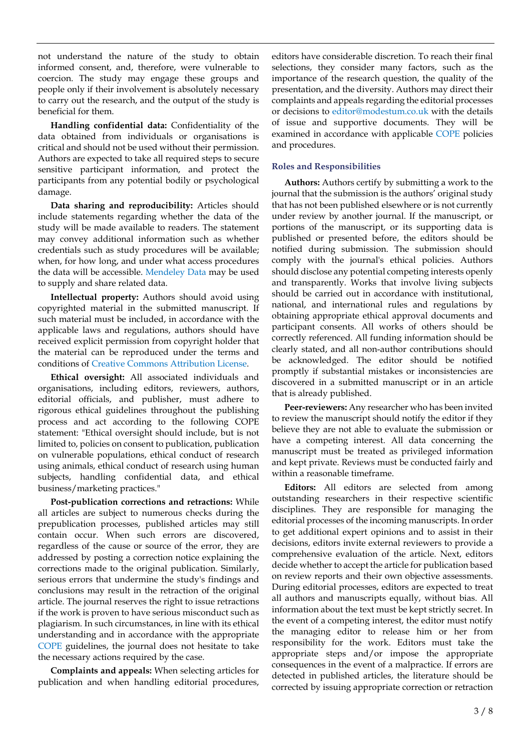not understand the nature of the study to obtain informed consent, and, therefore, were vulnerable to coercion. The study may engage these groups and people only if their involvement is absolutely necessary to carry out the research, and the output of the study is beneficial for them.

**Handling confidential data:** Confidentiality of the data obtained from individuals or organisations is critical and should not be used without their permission. Authors are expected to take all required steps to secure sensitive participant information, and protect the participants from any potential bodily or psychological damage.

**Data sharing and reproducibility:** Articles should include statements regarding whether the data of the study will be made available to readers. The statement may convey additional information such as whether credentials such as study procedures will be available; when, for how long, and under what access procedures the data will be accessible. [Mendeley](https://data.mendeley.com/) Data may be used to supply and share related data.

**Intellectual property:** Authors should avoid using copyrighted material in the submitted manuscript. If such material must be included, in accordance with the applicable laws and regulations, authors should have received explicit permission from copyright holder that the material can be reproduced under the terms and conditions of Creative Commons [Attribution](https://creativecommons.org/licenses/by/4.0/) License.

**Ethical oversight:** All associated individuals and organisations, including editors, reviewers, authors, editorial officials, and publisher, must adhere to rigorous ethical guidelines throughout the publishing process and act according to the following COPE statement: "Ethical oversight should include, but is not limited to, policies on consent to publication, publication on vulnerable populations, ethical conduct of research using animals, ethical conduct of research using human subjects, handling confidential data, and ethical business/marketing practices."

**Post-publication corrections and retractions:** While all articles are subject to numerous checks during the prepublication processes, published articles may still contain occur. When such errors are discovered, regardless of the cause or source of the error, they are addressed by posting a correction notice explaining the corrections made to the original publication. Similarly, serious errors that undermine the study's findings and conclusions may result in the retraction of the original article. The journal reserves the right to issue retractions if the work is proven to have serious misconduct such as plagiarism. In such circumstances, in line with its ethical understanding and in accordance with the appropriate [COPE](https://publicationethics.org/) guidelines, the journal does not hesitate to take the necessary actions required by the case.

**Complaints and appeals:** When selecting articles for publication and when handling editorial procedures,

editors have considerable discretion. To reach their final selections, they consider many factors, such as the importance of the research question, the quality of the presentation, and the diversity. Authors may direct their complaints and appeals regarding the editorial processes or decisions to [editor@modestum.co.uk](mailto:editor@modestum.co.uk) with the details of issue and supportive documents. They will be examined in accordance with applicable [COPE](https://publicationethics.org/) policies and procedures.

### **Roles and Responsibilities**

**Authors:** Authors certify by submitting a work to the journal that the submission is the authors' original study that has not been published elsewhere or is not currently under review by another journal. If the manuscript, or portions of the manuscript, or its supporting data is published or presented before, the editors should be notified during submission. The submission should comply with the journal's ethical policies. Authors should disclose any potential competing interests openly and transparently. Works that involve living subjects should be carried out in accordance with institutional, national, and international rules and regulations by obtaining appropriate ethical approval documents and participant consents. All works of others should be correctly referenced. All funding information should be clearly stated, and all non-author contributions should be acknowledged. The editor should be notified promptly if substantial mistakes or inconsistencies are discovered in a submitted manuscript or in an article that is already published.

**Peer-reviewers:** Any researcher who has been invited to review the manuscript should notify the editor if they believe they are not able to evaluate the submission or have a competing interest. All data concerning the manuscript must be treated as privileged information and kept private. Reviews must be conducted fairly and within a reasonable timeframe.

**Editors:** All editors are selected from among outstanding researchers in their respective scientific disciplines. They are responsible for managing the editorial processes of the incoming manuscripts. In order to get additional expert opinions and to assist in their decisions, editors invite external reviewers to provide a comprehensive evaluation of the article. Next, editors decide whether to accept the article for publication based on review reports and their own objective assessments. During editorial processes, editors are expected to treat all authors and manuscripts equally, without bias. All information about the text must be kept strictly secret. In the event of a competing interest, the editor must notify the managing editor to release him or her from responsibility for the work. Editors must take the appropriate steps and/or impose the appropriate consequences in the event of a malpractice. If errors are detected in published articles, the literature should be corrected by issuing appropriate correction or retraction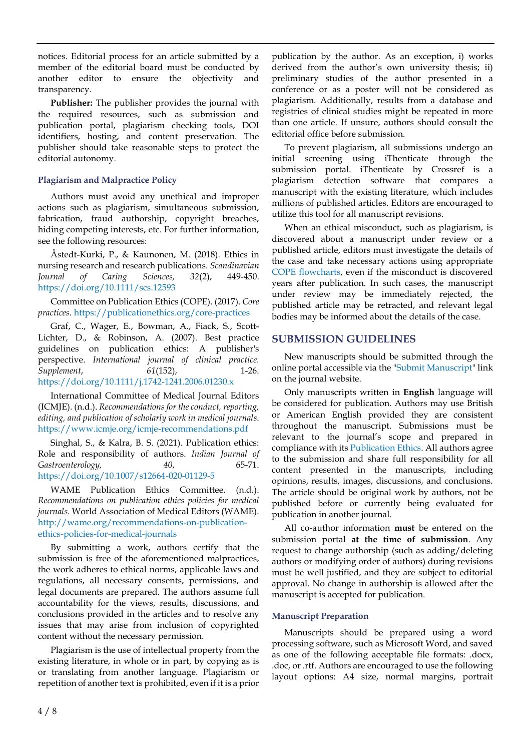notices. Editorial process for an article submitted by a member of the editorial board must be conducted by another editor to ensure the objectivity and transparency.

**Publisher:** The publisher provides the journal with the required resources, such as submission and publication portal, plagiarism checking tools, DOI identifiers, hosting, and content preservation. The publisher should take reasonable steps to protect the editorial autonomy.

### **Plagiarism and Malpractice Policy**

Authors must avoid any unethical and improper actions such as plagiarism, simultaneous submission, fabrication, fraud authorship, copyright breaches, hiding competing interests, etc. For further information, see the following resources:

Åstedt-Kurki, P., & Kaunonen, M. (2018). Ethics in nursing research and research publications. *Scandinavian Journal of Caring Sciences, 32*(2), 449-450. <https://doi.org/10.1111/scs.12593>

Committee on Publication Ethics (COPE). (2017). *Core practices*. <https://publicationethics.org/core-practices>

Graf, C., Wager, E., Bowman, A., Fiack, S., Scott-Lichter, D., & Robinson, A. (2007). Best practice guidelines on publication ethics: A publisher's perspective. *International journal of clinical practice. Supplement*, *61*(152), 1-26. <https://doi.org/10.1111/j.1742-1241.2006.01230.x>

International Committee of Medical Journal Editors (ICMJE). (n.d.). *Recommendations forthe conduct, reporting, editing, and publication of scholarly work in medical journals*. <https://www.icmje.org/icmje-recommendations.pdf>

Singhal, S., & Kalra, B. S. (2021). Publication ethics: Role and responsibility of authors. *Indian Journal of Gastroenterology, 40*, 65-71. <https://doi.org/10.1007/s12664-020-01129-5>

WAME Publication Ethics Committee. (n.d.). *Recommendations on publication ethics policies for medical journals*. World Association of Medical Editors (WAME). [http://wame.org/recommendations-on-publication](http://wame.org/recommendations-on-publication-ethics-policies-for-medical-journals)[ethics-policies-for-medical-journals](http://wame.org/recommendations-on-publication-ethics-policies-for-medical-journals)

By submitting a work, authors certify that the submission is free of the aforementioned malpractices, the work adheres to ethical norms, applicable laws and regulations, all necessary consents, permissions, and legal documents are prepared. The authors assume full accountability for the views, results, discussions, and conclusions provided in the articles and to resolve any issues that may arise from inclusion of copyrighted content without the necessary permission.

Plagiarism is the use of intellectual property from the existing literature, in whole or in part, by copying as is or translating from another language. Plagiarism or repetition of another text is prohibited, even if it is a prior

publication by the author. As an exception, i) works derived from the author's own university thesis; ii) preliminary studies of the author presented in a conference or as a poster will not be considered as plagiarism. Additionally, results from a database and registries of clinical studies might be repeated in more than one article. If unsure, authors should consult the editorial office before submission.

To prevent plagiarism, all submissions undergo an initial screening using iThenticate through the submission portal. iThenticate by Crossref is a plagiarism detection software that compares a manuscript with the existing literature, which includes millions of published articles. Editors are encouraged to utilize this tool for all manuscript revisions.

When an ethical misconduct, such as plagiarism, is discovered about a manuscript under review or a published article, editors must investigate the details of the case and take necessary actions using appropriate COPE [flowcharts,](https://publicationethics.org/guidance/Flowcharts) even if the misconduct is discovered years after publication. In such cases, the manuscript under review may be immediately rejected, the published article may be retracted, and relevant legal bodies may be informed about the details of the case.

### **SUBMISSION GUIDELINES**

New manuscripts should be submitted through the online portal accessible via the "Submit [Manuscript"](https://www.editorialpark.com/ejmste) link on the journal website.

Only manuscripts written in **English** language will be considered for publication. Authors may use British or American English provided they are consistent throughout the manuscript. Submissions must be relevant to the journal's scope and prepared in compliance with its [Publication](https://www.ejmste.com/home/publication-ethics) Ethics. All authors agree to the submission and share full responsibility for all content presented in the manuscripts, including opinions, results, images, discussions, and conclusions. The article should be original work by authors, not be published before or currently being evaluated for publication in another journal.

All co-author information **must** be entered on the submission portal **at the time of submission**. Any request to change authorship (such as adding/deleting authors or modifying order of authors) during revisions must be well justified, and they are subject to editorial approval. No change in authorship is allowed after the manuscript is accepted for publication.

#### **Manuscript Preparation**

Manuscripts should be prepared using a word processing software, such as Microsoft Word, and saved as one of the following acceptable file formats: .docx, .doc, or .rtf. Authors are encouraged to use the following layout options: A4 size, normal margins, portrait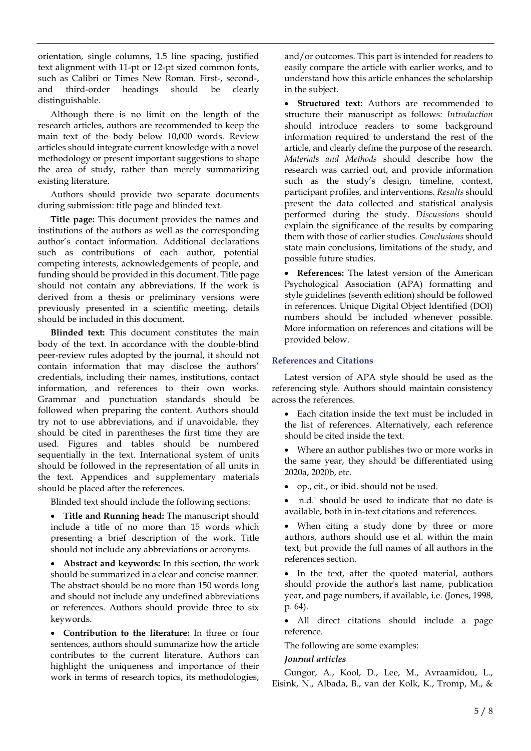orientation, single columns, 1.5 line spacing, justified text alignment with 11-pt or 12-pt sized common fonts, such as Calibri or Times New Roman. First-, second-, and third-order headings should be clearly distinguishable.

Although there is no limit on the length of the research articles, authors are recommended to keep the main text of the body below 10,000 words. Review articles should integrate current knowledge with a novel methodology or present important suggestions to shape the area of study, rather than merely summarizing existing literature.

Authors should provide two separate documents during submission: title page and blinded text.

**Title page:** This document provides the names and institutions of the authors as well as the corresponding author's contact information. Additional declarations such as contributions of each author, potential competing interests, acknowledgements of people, and funding should be provided in this document. Title page should not contain any abbreviations. If the work is derived from a thesis or preliminary versions were previously presented in a scientific meeting, details should be included in this document.

**Blinded text:** This document constitutes the main body of the text. In accordance with the double-blind peer-review rules adopted by the journal, it should not contain information that may disclose the authors' credentials, including their names, institutions, contact information, and references to their own works. Grammar and punctuation standards should be followed when preparing the content. Authors should try not to use abbreviations, and if unavoidable, they should be cited in parentheses the first time they are used. Figures and tables should be numbered sequentially in the text. International system of units should be followed in the representation of all units in the text. Appendices and supplementary materials should be placed after the references.

Blinded text should include the following sections:

• **Title and Running head:** The manuscript should include a title of no more than 15 words which presenting a brief description of the work. Title should not include any abbreviations or acronyms.

• **Abstract and keywords:** In this section, the work should be summarized in a clear and concise manner. The abstract should be no more than 150 words long and should not include any undefined abbreviations or references. Authors should provide three to six keywords.

• **Contribution to the literature:** In three or four sentences, authors should summarize how the article contributes to the current literature. Authors can highlight the uniqueness and importance of their work in terms of research topics, its methodologies,

and/or outcomes. This part is intended for readers to easily compare the article with earlier works, and to understand how this article enhances the scholarship in the subject.

• **Structured text:** Authors are recommended to structure their manuscript as follows: *Introduction* should introduce readers to some background information required to understand the rest of the article, and clearly define the purpose of the research. *Materials and Methods* should describe how the research was carried out, and provide information such as the study's design, timeline, context, participant profiles, and interventions. *Results* should present the data collected and statistical analysis performed during the study. *Discussions* should explain the significance of the results by comparing them with those of earlier studies. *Conclusions* should state main conclusions, limitations of the study, and possible future studies.

• **References:** The latest version of the American Psychological Association (APA) formatting and style guidelines (seventh edition) should be followed in references. Unique Digital Object Identified (DOI) numbers should be included whenever possible. More information on references and citations will be provided below.

### **References and Citations**

Latest version of APA style should be used as the referencing style. Authors should maintain consistency across the references.

- Each citation inside the text must be included in the list of references. Alternatively, each reference should be cited inside the text.
- Where an author publishes two or more works in the same year, they should be differentiated using 2020a, 2020b, etc.
- op., cit., or ibid. should not be used.
- 'n.d.' should be used to indicate that no date is available, both in in-text citations and references.
- When citing a study done by three or more authors, authors should use et al. within the main text, but provide the full names of all authors in the references section.

• In the text, after the quoted material, authors should provide the author's last name, publication year, and page numbers, if available, i.e. (Jones, 1998, p. 64).

• All direct citations should include a page reference.

The following are some examples:

### *Journal articles*

Gungor, A., Kool, D., Lee, M., Avraamidou, L., Eisink, N., Albada, B., van der Kolk, K., Tromp, M., &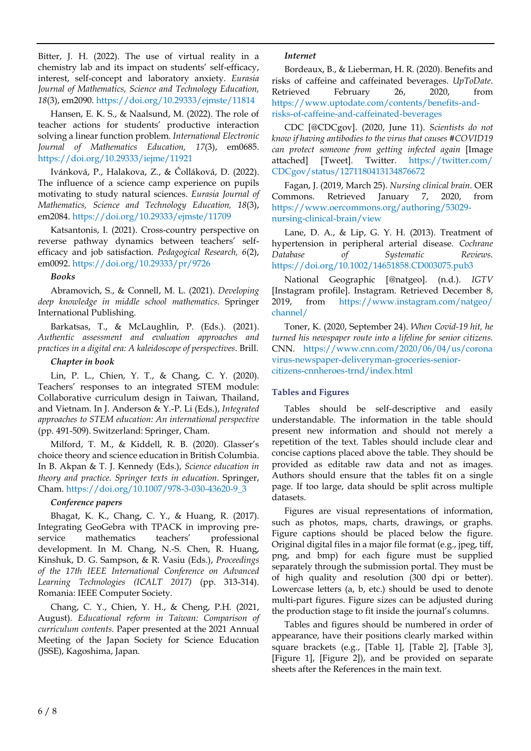Bitter, J. H. (2022). The use of virtual reality in a chemistry lab and its impact on students' self-efficacy, interest, self-concept and laboratory anxiety. *Eurasia Journal of Mathematics, Science and Technology Education, 18*(3), em2090. <https://doi.org/10.29333/ejmste/11814>

Hansen, E. K. S., & Naalsund, M. (2022). The role of teacher actions for students' productive interaction solving a linear function problem. *International Electronic Journal of Mathematics Education, 17*(3), em0685. <https://doi.org/10.29333/iejme/11921>

Ivánková, P., Halakova, Z., & Čolláková, D. (2022). The influence of a science camp experience on pupils motivating to study natural sciences. *Eurasia Journal of Mathematics, Science and Technology Education, 18*(3), em2084. <https://doi.org/10.29333/ejmste/11709>

Katsantonis, I. (2021). Cross-country perspective on reverse pathway dynamics between teachers' selfefficacy and job satisfaction. *Pedagogical Research, 6*(2), em0092. <https://doi.org/10.29333/pr/9726>

#### *Books*

Abramovich, S., & Connell, M. L. (2021). *Developing deep knowledge in middle school mathematics*. Springer International Publishing.

Barkatsas, T., & McLaughlin, P. (Eds.). (2021). *Authentic assessment and evaluation approaches and practices in a digital era: A kaleidoscope of perspectives*. Brill.

### *Chapter in book*

Lin, P. L., Chien, Y. T., & Chang, C. Y. (2020). Teachers' responses to an integrated STEM module: Collaborative curriculum design in Taiwan, Thailand, and Vietnam. In J. Anderson & Y.-P. Li (Eds.), *Integrated approaches to STEM education: An international perspective* (pp. 491-509). Switzerland: Springer, Cham.

Milford, T. M., & Kiddell, R. B. (2020). Glasser's choice theory and science education in British Columbia. In B. Akpan & T. J. Kennedy (Eds.), *Science education in theory and practice. Springer texts in education*. Springer, Cham. [https://doi.org/10.1007/978-3-030-43620-9\\_3](https://doi.org/10.1007/978-3-030-43620-9_3)

### *Conference papers*

Bhagat, K. K., Chang, C. Y., & Huang, R. (2017). Integrating GeoGebra with TPACK in improving preservice mathematics teachers' professional development. In M. Chang, N.-S. Chen, R. Huang, Kinshuk, D. G. Sampson, & R. Vasiu (Eds.), *Proceedings of the 17th IEEE International Conference on Advanced Learning Technologies (ICALT 2017)* (pp. 313-314). Romania: IEEE Computer Society.

Chang, C. Y., Chien, Y. H., & Cheng, P.H. (2021, August). *Educational reform in Taiwan: Comparison of curriculum contents*. Paper presented at the 2021 Annual Meeting of the Japan Society for Science Education (JSSE), Kagoshima, Japan.

### *Internet*

Bordeaux, B., & Lieberman, H. R. (2020). Benefits and risks of caffeine and caffeinated beverages. *UpToDate*. Retrieved February 26, 2020, from [https://www.uptodate.com/contents/benefits-and](https://www.uptodate.com/contents/benefits-and-risks-of-caffeine-and-caffeinated-beverages)[risks-of-caffeine-and-caffeinated-beverages](https://www.uptodate.com/contents/benefits-and-risks-of-caffeine-and-caffeinated-beverages)

CDC [@CDCgov]. (2020, June 11). *Scientists do not know if having antibodies to the virus that causes #COVID19 can protect someone from getting infected again* [Image attached] [Tweet]. Twitter. [https://twitter.com/](https://twitter.com/CDCgov/status/1271180413134876672) [CDCgov/status/1271180413134876672](https://twitter.com/CDCgov/status/1271180413134876672)

Fagan, J. (2019, March 25). *Nursing clinical brain*. OER Commons. Retrieved January 7, 2020, from [https://www.oercommons.org/authoring/53029](https://www.oercommons.org/authoring/53029-nursing-clinical-brain/view) [nursing-clinical-brain/view](https://www.oercommons.org/authoring/53029-nursing-clinical-brain/view)

Lane, D. A., & Lip, G. Y. H. (2013). Treatment of hypertension in peripheral arterial disease. *Cochrane Database of Systematic Reviews*. <https://doi.org/10.1002/14651858.CD003075.pub3>

National Geographic [@natgeo]. (n.d.). *IGTV* [Instagram profile]. Instagram. Retrieved December 8, 2019, from [https://www.instagram.com/natgeo/](https://www.instagram.com/natgeo/channel/) [channel/](https://www.instagram.com/natgeo/channel/)

Toner, K. (2020, September 24). *When Covid-19 hit, he turned his newspaper route into a lifeline for senior citizens*. CNN. [https://www.cnn.com/2020/06/04/us/corona](https://www.cnn.com/2020/06/04/us/coronavirus-newspaper-deliveryman-groceries-senior-citizens-cnnheroes-trnd/index.html) [virus-newspaper-deliveryman-groceries-senior](https://www.cnn.com/2020/06/04/us/coronavirus-newspaper-deliveryman-groceries-senior-citizens-cnnheroes-trnd/index.html)[citizens-cnnheroes-trnd/index.html](https://www.cnn.com/2020/06/04/us/coronavirus-newspaper-deliveryman-groceries-senior-citizens-cnnheroes-trnd/index.html)

### **Tables and Figures**

Tables should be self-descriptive and easily understandable. The information in the table should present new information and should not merely a repetition of the text. Tables should include clear and concise captions placed above the table. They should be provided as editable raw data and not as images. Authors should ensure that the tables fit on a single page. If too large, data should be split across multiple datasets.

Figures are visual representations of information, such as photos, maps, charts, drawings, or graphs. Figure captions should be placed below the figure. Original digital files in a major file format (e.g., jpeg, tiff, png, and bmp) for each figure must be supplied separately through the submission portal. They must be of high quality and resolution (300 dpi or better). Lowercase letters (a, b, etc.) should be used to denote multi-part figures. Figure sizes can be adjusted during the production stage to fit inside the journal's columns.

Tables and figures should be numbered in order of appearance, have their positions clearly marked within square brackets (e.g., [Table 1], [Table 2], [Table 3], [Figure 1], [Figure 2]), and be provided on separate sheets after the References in the main text.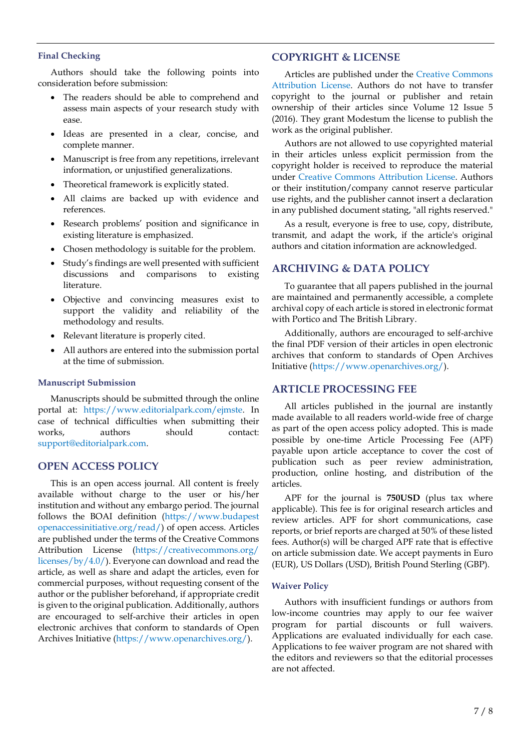#### **Final Checking**

Authors should take the following points into consideration before submission:

- The readers should be able to comprehend and assess main aspects of your research study with ease.
- Ideas are presented in a clear, concise, and complete manner.
- Manuscript is free from any repetitions, irrelevant information, or unjustified generalizations.
- Theoretical framework is explicitly stated.
- All claims are backed up with evidence and references.
- Research problems' position and significance in existing literature is emphasized.
- Chosen methodology is suitable for the problem.
- Study's findings are well presented with sufficient discussions and comparisons to existing literature.
- Objective and convincing measures exist to support the validity and reliability of the methodology and results.
- Relevant literature is properly cited.
- All authors are entered into the submission portal at the time of submission.

#### **Manuscript Submission**

Manuscripts should be submitted through the online portal at: [https://www.editorialpark.com/ejmste.](https://www.editorialpark.com/ejmste) In case of technical difficulties when submitting their works, authors should contact: [support@editorialpark.com.](mailto:support@editorialpark.com)

#### **OPEN ACCESS POLICY**

This is an open access journal. All content is freely available without charge to the user or his/her institution and without any embargo period. The journal follows the BOAI definition [\(https://www.budapest](https://www.budapestopenaccessinitiative.org/read/) [openaccessinitiative.org/read/\)](https://www.budapestopenaccessinitiative.org/read/) of open access. Articles are published under the terms of the Creative Commons Attribution License [\(https://creativecommons.org/](https://creativecommons.org/licenses/by/4.0/) [licenses/by/4.0/\)](https://creativecommons.org/licenses/by/4.0/). Everyone can download and read the article, as well as share and adapt the articles, even for commercial purposes, without requesting consent of the author or the publisher beforehand, if appropriate credit is given to the original publication. Additionally, authors are encouraged to self-archive their articles in open electronic archives that conform to standards of Open Archives Initiative [\(https://www.openarchives.org/\)](https://www.openarchives.org/).

#### **COPYRIGHT & LICENSE**

Articles are published under the Creative [Commons](https://creativecommons.org/licenses/by/4.0/) [Attribution](https://creativecommons.org/licenses/by/4.0/) License. Authors do not have to transfer copyright to the journal or publisher and retain ownership of their articles since Volume 12 Issue 5 (2016). They grant Modestum the license to publish the work as the original publisher.

Authors are not allowed to use copyrighted material in their articles unless explicit permission from the copyright holder is received to reproduce the material under Creative Commons [Attribution](https://creativecommons.org/licenses/by/4.0/) License. Authors or their institution/company cannot reserve particular use rights, and the publisher cannot insert a declaration in any published document stating, "all rights reserved."

As a result, everyone is free to use, copy, distribute, transmit, and adapt the work, if the article's original authors and citation information are acknowledged.

### **ARCHIVING & DATA POLICY**

To guarantee that all papers published in the journal are maintained and permanently accessible, a complete archival copy of each article is stored in electronic format with Portico and The British Library.

Additionally, authors are encouraged to self-archive the final PDF version of their articles in open electronic archives that conform to standards of Open Archives Initiative [\(https://www.openarchives.org/\)](https://www.openarchives.org/).

#### **ARTICLE PROCESSING FEE**

All articles published in the journal are instantly made available to all readers world-wide free of charge as part of the open access policy adopted. This is made possible by one-time Article Processing Fee (APF) payable upon article acceptance to cover the cost of publication such as peer review administration, production, online hosting, and distribution of the articles.

APF for the journal is **750USD** (plus tax where applicable). This fee is for original research articles and review articles. APF for short communications, case reports, or brief reports are charged at 50% of these listed fees. Author(s) will be charged APF rate that is effective on article submission date. We accept payments in Euro (EUR), US Dollars (USD), British Pound Sterling (GBP).

#### **Waiver Policy**

Authors with insufficient fundings or authors from low-income countries may apply to our fee waiver program for partial discounts or full waivers. Applications are evaluated individually for each case. Applications to fee waiver program are not shared with the editors and reviewers so that the editorial processes are not affected.